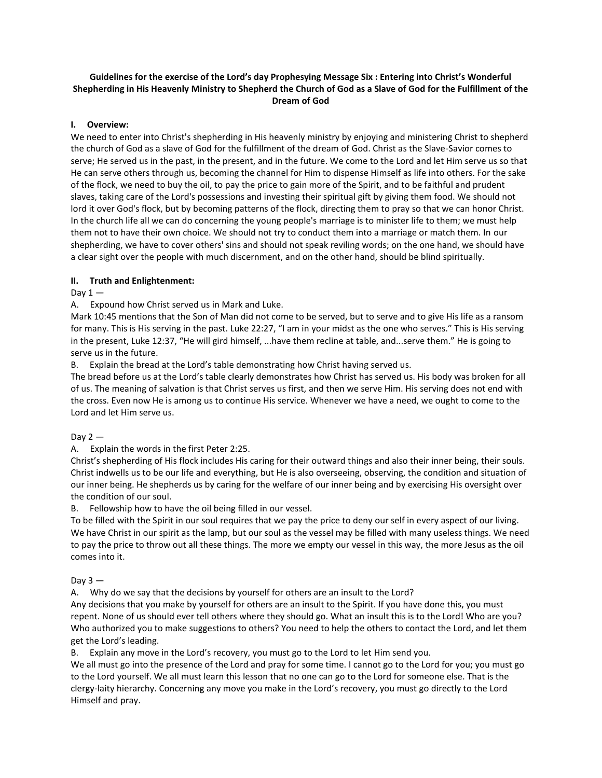# **Guidelines for the exercise of the Lord's day Prophesying Message Six : Entering into Christ's Wonderful Shepherding in His Heavenly Ministry to Shepherd the Church of God as a Slave of God for the Fulfillment of the Dream of God**

### **I. Overview:**

We need to enter into Christ's shepherding in His heavenly ministry by enjoying and ministering Christ to shepherd the church of God as a slave of God for the fulfillment of the dream of God. Christ as the Slave-Savior comes to serve; He served us in the past, in the present, and in the future. We come to the Lord and let Him serve us so that He can serve others through us, becoming the channel for Him to dispense Himself as life into others. For the sake of the flock, we need to buy the oil, to pay the price to gain more of the Spirit, and to be faithful and prudent slaves, taking care of the Lord's possessions and investing their spiritual gift by giving them food. We should not lord it over God's flock, but by becoming patterns of the flock, directing them to pray so that we can honor Christ. In the church life all we can do concerning the young people's marriage is to minister life to them; we must help them not to have their own choice. We should not try to conduct them into a marriage or match them. In our shepherding, we have to cover others' sins and should not speak reviling words; on the one hand, we should have a clear sight over the people with much discernment, and on the other hand, should be blind spiritually.

### **II. Truth and Enlightenment:**

## Day  $1 -$

A. Expound how Christ served us in Mark and Luke.

Mark 10:45 mentions that the Son of Man did not come to be served, but to serve and to give His life as a ransom for many. This is His serving in the past. Luke 22:27, "I am in your midst as the one who serves." This is His serving in the present, Luke 12:37, "He will gird himself, ...have them recline at table, and...serve them." He is going to serve us in the future.

B. Explain the bread at the Lord's table demonstrating how Christ having served us.

The bread before us at the Lord's table clearly demonstrates how Christ has served us. His body was broken for all of us. The meaning of salvation is that Christ serves us first, and then we serve Him. His serving does not end with the cross. Even now He is among us to continue His service. Whenever we have a need, we ought to come to the Lord and let Him serve us.

## Day  $2-$

A. Explain the words in the first Peter 2:25.

Christ's shepherding of His flock includes His caring for their outward things and also their inner being, their souls. Christ indwells us to be our life and everything, but He is also overseeing, observing, the condition and situation of our inner being. He shepherds us by caring for the welfare of our inner being and by exercising His oversight over the condition of our soul.

## B. Fellowship how to have the oil being filled in our vessel.

To be filled with the Spirit in our soul requires that we pay the price to deny our self in every aspect of our living. We have Christ in our spirit as the lamp, but our soul as the vessel may be filled with many useless things. We need to pay the price to throw out all these things. The more we empty our vessel in this way, the more Jesus as the oil comes into it.

#### Day  $3 -$

A. Why do we say that the decisions by yourself for others are an insult to the Lord?

Any decisions that you make by yourself for others are an insult to the Spirit. If you have done this, you must repent. None of us should ever tell others where they should go. What an insult this is to the Lord! Who are you? Who authorized you to make suggestions to others? You need to help the others to contact the Lord, and let them get the Lord's leading.

B. Explain any move in the Lord's recovery, you must go to the Lord to let Him send you.

We all must go into the presence of the Lord and pray for some time. I cannot go to the Lord for you; you must go to the Lord yourself. We all must learn this lesson that no one can go to the Lord for someone else. That is the clergy-laity hierarchy. Concerning any move you make in the Lord's recovery, you must go directly to the Lord Himself and pray.